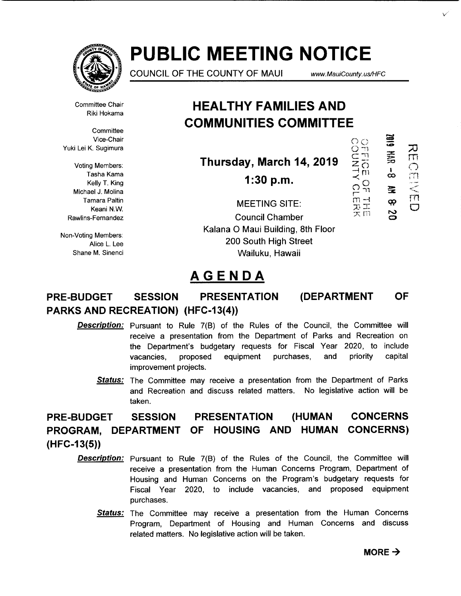

# **PUBLIC MEETING NOTICE**

COUNCIL OF THE COUNTY OF MAUl www. MauiCounty. us/HFC

**61BZ** 

 $\equiv$  $\equiv$   $\frac{\infty}{2}$ 

 $\frac{1}{60}$ 

宝 Q?  $\overline{\phantom{a}}$  $\mathbf C$ 

 $\frac{1}{2}$  $\overline{O}$  $\frac{1}{m}$  $\frac{1}{2}$ 文<br>スロ  $\frac{1}{2}$   $\frac{1}{2}$ 

 $\begin{matrix} 1 & 1 \\ 0 & 1 \end{matrix}$ 

rn  $\mathbb{C}$ 

*v* 

Committee Chair Riki Hokama

**Committee** Vice-Chair

Voting Members: Tasha Kama Kelly T. King Michael J. Molina Tamara Paltin Keani N.W. Rawlins-Fernandez

Non-Voting Members: Alice L. Lee Shane M. Sinenci

# **HEAL THY FAMILIES AND COMMUNITIES COMMITTEE**

Vice-Chair<br>
Yuki Lei K. Sugimura<br>
Voting Members:<br>
Tasha Kama<br>
Tasha Kama<br>
Tasha Kama<br>
Tasha Kama<br>
Yuki Lei K. Sugimura<br>
Tasha Kama<br>
Tasha Kama<br>
Tasha Kama<br>
Tasha Kama<br>
Tasha Kama<br>
Tasha Kama<br>
Tasha Kama<br>
Tasha Kama<br>
Tash **Thursday, March 14, 2019** 

**1:30 p.m.** 

MEETING SITE: Council Chamber Kalana 0 Maui Building, 8th Floor 200 South High Street Wailuku, Hawaii

# **AGENDA**

# **PRE-BUDGET SESSION PRESENTATION (DEPARTMENT OF PARKS AND RECREATION) (HFC-13(4))**

- **Description:** Pursuant to Rule 7(B) of the Rules of the Council, the Committee will receive a presentation from the Department of Parks and Recreation on the Department's budgetary requests for Fiscal Year 2020, to include vacancies, proposed equipment purchases, and priority capital improvement projects.
	- Status: The Committee may receive a presentation from the Department of Parks and Recreation and discuss related matters. No legislative action will be taken.

#### **PRE-BUDGET SESSION PRESENTATION (HUMAN PROGRAM, DEPARTMENT OF HOUSING AND HUMAN (HFC-13(5)) CONCERNS CONCERNS)**

- **Description:** Pursuant to Rule 7(B) of the Rules of the Council, the Committee will receive a presentation from the Human Concerns Program, Department of Housing and Human Concerns on the Program's budgetary requests for Fiscal Year 2020, to include vacancies, and proposed equipment purchases.
	- Status: The Committee may receive a presentation from the Human Concerns Program, Department of Housing and Human Concerns and discuss related matters. No legislative action will be taken.